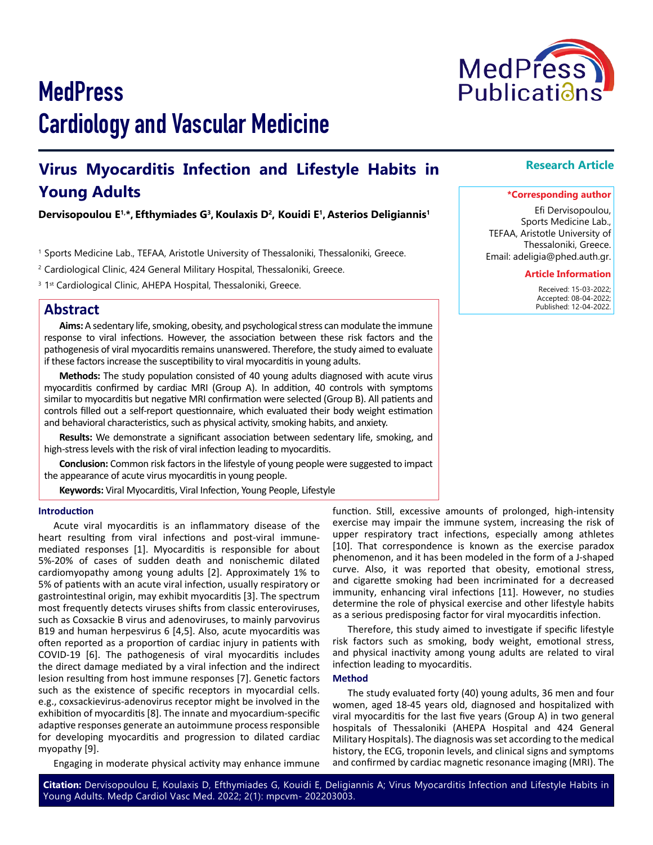# **MedPress** Cardiology and Vascular Medicine

## **Virus Myocarditis Infection and Lifestyle Habits in Young Adults**

#### **Dervisopoulou E1,\*, Efthymiades G3,Koulaxis D2, Kouidi E1, Asterios Deligiannis1**

1 Sports Medicine Lab., TEFAA, Aristotle University of Thessaloniki, Thessaloniki, Greece.

<sup>2</sup> Cardiological Clinic, 424 General Military Hospital, Thessaloniki, Greece.

<sup>3</sup> 1<sup>st</sup> Cardiological Clinic, AHEPA Hospital, Thessaloniki, Greece.

### **Abstract**

**Aims:** A sedentary life, smoking, obesity, and psychological stress can modulate the immune response to viral infections. However, the association between these risk factors and the pathogenesis of viral myocarditis remains unanswered. Therefore, the study aimed to evaluate if these factors increase the susceptibility to viral myocarditis in young adults.

**Methods:** The study population consisted of 40 young adults diagnosed with acute virus myocarditis confirmed by cardiac MRI (Group A). In addition, 40 controls with symptoms similar to myocarditis but negative MRI confirmation were selected (Group B). All patients and controls filled out a self-report questionnaire, which evaluated their body weight estimation and behavioral characteristics, such as physical activity, smoking habits, and anxiety.

**Results:** We demonstrate a significant association between sedentary life, smoking, and high-stress levels with the risk of viral infection leading to myocarditis.

**Conclusion:** Common risk factors in the lifestyle of young people were suggested to impact the appearance of acute virus myocarditis in young people.

**Keywords:** Viral Myocarditis, Viral Infection, Young People, Lifestyle

#### **Introduction**

Acute viral myocarditis is an inflammatory disease of the heart resulting from viral infections and post-viral immunemediated responses [1]. Myocarditis is responsible for about 5%-20% of cases of sudden death and nonischemic dilated cardiomyopathy among young adults [2]. Αpproximately 1% to 5% of patients with an acute viral infection, usually respiratory or gastrointestinal origin, may exhibit myocarditis [3]. The spectrum most frequently detects viruses shifts from classic enteroviruses, such as Coxsackie B virus and adenoviruses, to mainly parvovirus B19 and human herpesvirus 6 [4,5]. Also, acute myocarditis was often reported as a proportion of cardiac injury in patients with COVID-19 [6]. The pathogenesis of viral myocarditis includes the direct damage mediated by a viral infection and the indirect lesion resulting from host immune responses [7]. Genetic factors such as the existence of specific receptors in myocardial cells. e.g., coxsackievirus-adenovirus receptor might be involved in the exhibition of myocarditis [8]. The innate and myocardium-specific adaptive responses generate an autoimmune process responsible for developing myocarditis and progression to dilated cardiac myopathy [9].

Engaging in moderate physical activity may enhance immune

function. Still, excessive amounts of prolonged, high-intensity exercise may impair the immune system, increasing the risk of upper respiratory tract infections, especially among athletes [10]. That correspondence is known as the exercise paradox phenomenon, and it has been modeled in the form of a J-shaped curve. Also, it was reported that obesity, emotional stress, and cigarette smoking had been incriminated for a decreased immunity, enhancing viral infections [11]. However, no studies determine the role of physical exercise and other lifestyle habits as a serious predisposing factor for viral myocarditis infection.

Therefore, this study aimed to investigate if specific lifestyle risk factors such as smoking, body weight, emotional stress, and physical inactivity among young adults are related to viral infection leading to myocarditis.

#### **Method**

The study evaluated forty (40) young adults, 36 men and four women, aged 18-45 years old, diagnosed and hospitalized with viral myocarditis for the last five years (Group A) in two general hospitals of Thessaloniki (ΑHΕPΑ Hospital and 424 General Military Hospitals). The diagnosis was set according to the medical history, the ECG, troponin levels, and clinical signs and symptoms and confirmed by cardiac magnetic resonance imaging (MRI). The

#### **Research Article**

#### **\*Corresponding author**

Efi Dervisopoulou, Sports Medicine Lab., TEFAA, Aristotle University of Thessaloniki, Greece. Email: adeligia@phed.auth.gr.

#### **Article Information**

 Received: 15-03-2022; Accepted: 08-04-2022; Published: 12-04-2022.

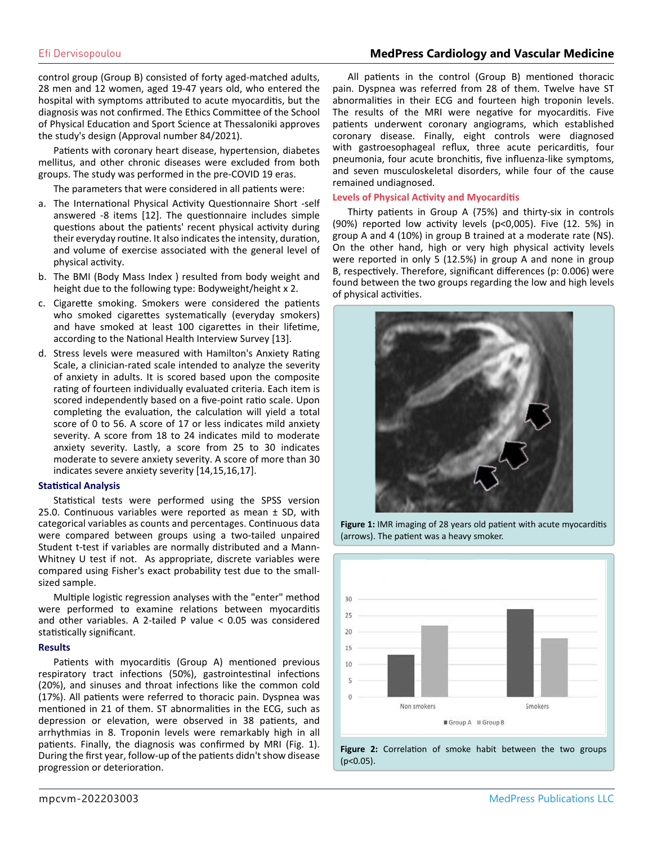#### Efi Dervisopoulou **MedPress Cardiology and Vascular Medicine**

control group (Group B) consisted of forty aged-matched adults, 28 men and 12 women, aged 19-47 years old, who entered the hospital with symptoms attributed to acute myocarditis, but the diagnosis was not confirmed. The Ethics Committee of the School of Physical Education and Sport Science at Thessaloniki approves the study's design (Approval number 84/2021).

Patients with coronary heart disease, hypertension, diabetes mellitus, and other chronic diseases were excluded from both groups. The study was performed in the pre-COVID 19 eras.

The parameters that were considered in all patients were:

- a. The International Physical Activity Questionnaire Short -self answered -8 items [12]. The questionnaire includes simple questions about the patients' recent physical activity during their everyday routine. It also indicates the intensity, duration, and volume of exercise associated with the general level of physical activity.
- b. The BMI (Body Mass Index ) resulted from body weight and height due to the following type: Bodyweight/height x 2.
- c. Cigarette smoking. Smokers were considered the patients who smoked cigarettes systematically (everyday smokers) and have smoked at least 100 cigarettes in their lifetime, according to the National Health Interview Survey [13].
- d. Stress levels were measured with Hamilton's Anxiety Rating Scale, a clinician-rated scale intended to analyze the severity of anxiety in adults. It is scored based upon the composite rating of fourteen individually evaluated criteria. Each item is scored independently based on a five-point ratio scale. Upon completing the evaluation, the calculation will yield a total score of 0 to 56. A score of 17 or less indicates mild anxiety severity. A score from 18 to 24 indicates mild to moderate anxiety severity. Lastly, a score from 25 to 30 indicates moderate to severe anxiety severity. A score of more than 30 indicates severe anxiety severity [14,15,16,17].

#### **Statistical Analysis**

Statistical tests were performed using the SPSS version 25.0. Continuous variables were reported as mean  $\pm$  SD, with categorical variables as counts and percentages. Continuous data were compared between groups using a two-tailed unpaired Student t-test if variables are normally distributed and a Mann-Whitney U test if not. As appropriate, discrete variables were compared using Fisher's exact probability test due to the smallsized sample.

Multiple logistic regression analyses with the "enter" method were performed to examine relations between myocarditis and other variables. A 2-tailed P value < 0.05 was considered statistically significant.

#### **Results**

Patients with myocarditis (Group A) mentioned previous respiratory tract infections (50%), gastrointestinal infections (20%), and sinuses and throat infections like the common cold (17%). All patients were referred to thoracic pain. Dyspnea was mentioned in 21 of them. ST abnormalities in the ECG, such as depression or elevation, were observed in 38 patients, and arrhythmias in 8. Troponin levels were remarkably high in all patients. Finally, the diagnosis was confirmed by MRI (Fig. 1). During the first year, follow-up of the patients didn't show disease progression or deterioration.

All patients in the control (Group B) mentioned thoracic pain. Dyspnea was referred from 28 of them. Twelve have ST abnormalities in their ECG and fourteen high troponin levels. The results of the MRI were negative for myocarditis. Five patients underwent coronary angiograms, which established coronary disease. Finally, eight controls were diagnosed with gastroesophageal reflux, three acute pericarditis, four pneumonia, four acute bronchitis, five influenza-like symptoms, and seven musculoskeletal disorders, while four of the cause remained undiagnosed.

#### **Levels of Physical Activity and Myocarditis**

Thirty patients in Group A (75%) and thirty-six in controls (90%) reported low activity levels (p<0,005). Five (12. 5%) in group A and 4 (10%) in group B trained at a moderate rate (NS). On the other hand, high or very high physical activity levels were reported in only 5 (12.5%) in group A and none in group B, respectively. Therefore, significant differences (p: 0.006) were found between the two groups regarding the low and high levels of physical activities.



**Figure 1:** IMR imaging of 28 years old patient with acute myocarditis (arrows). The patient was a heavy smoker.



**Figure 2:** Correlation of smoke habit between the two groups  $(p<0.05)$ .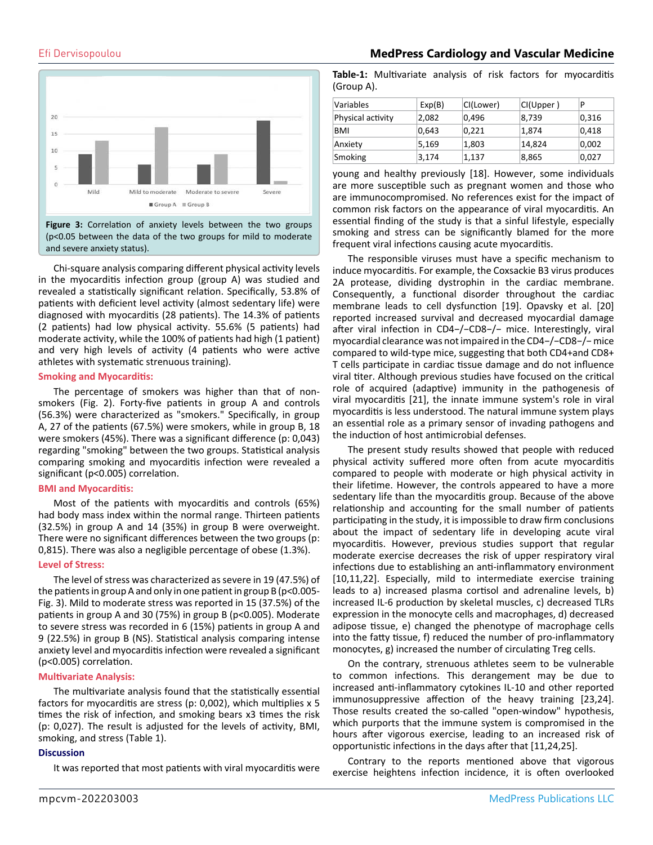

Chi-square analysis comparing different physical activity levels in the myocarditis infection group (group A) was studied and revealed a statistically significant relation. Specifically, 53.8% of patients with deficient level activity (almost sedentary life) were diagnosed with myocarditis (28 patients). The 14.3% of patients (2 patients) had low physical activity. 55.6% (5 patients) had moderate activity, while the 100% of patients had high (1 patient) and very high levels of activity (4 patients who were active athletes with systematic strenuous training).

#### **Smoking and Myocarditis:**

The percentage of smokers was higher than that of nonsmokers (Fig. 2). Forty-five patients in group A and controls (56.3%) were characterized as "smokers." Specifically, in group A, 27 of the patients (67.5%) were smokers, while in group B, 18 were smokers (45%). There was a significant difference (p: 0,043) regarding "smoking" between the two groups. Statistical analysis comparing smoking and myocarditis infection were revealed a significant (p<0.005) correlation.

#### **BMI and Myocarditis:**

Most of the patients with myocarditis and controls (65%) had body mass index within the normal range. Thirteen patients (32.5%) in group A and 14 (35%) in group B were overweight. There were no significant differences between the two groups (p: 0,815). There was also a negligible percentage of obese (1.3%).

#### **Level of Stress:**

The level of stress was characterized as severe in 19 (47.5%) of the patients in group A and only in one patient in group B (p<0.005- Fig. 3). Mild to moderate stress was reported in 15 (37.5%) of the patients in group A and 30 (75%) in group B (p<0.005). Moderate to severe stress was recorded in 6 (15%) patients in group A and 9 (22.5%) in group B (NS). Statistical analysis comparing intense anxiety level and myocarditis infection were revealed a significant (p<0.005) correlation.

#### **Multivariate Analysis:**

The multivariate analysis found that the statistically essential factors for myocarditis are stress (p: 0,002), which multiplies x 5 times the risk of infection, and smoking bears x3 times the risk (p: 0,027). The result is adjusted for the levels of activity, BMI, smoking, and stress (Table 1).

#### **Discussion**

It was reported that most patients with viral myocarditis were

Efi Dervisopoulou **MedPress Cardiology and Vascular Medicine**

**Table-1:** Multivariate analysis of risk factors for myocarditis (Group A).

| Variables         | Exp(B) | CI(Lower) | CI(Upper) | P     |
|-------------------|--------|-----------|-----------|-------|
| Physical activity | 2,082  | 0,496     | 8,739     | 0,316 |
| <b>BMI</b>        | 0,643  | 0,221     | 1,874     | 0,418 |
| Anxiety           | 5,169  | 1,803     | 14,824    | 0,002 |
| Smoking           | 3,174  | 1,137     | 8,865     | 0,027 |

young and healthy previously [18]. However, some individuals are more susceptible such as pregnant women and those who are immunocompromised. No references exist for the impact of common risk factors on the appearance of viral myocarditis. An essential finding of the study is that a sinful lifestyle, especially smoking and stress can be significantly blamed for the more frequent viral infections causing acute myocarditis.

The responsible viruses must have a specific mechanism to induce myocarditis. For example, the Coxsackie B3 virus produces 2A protease, dividing dystrophin in the cardiac membrane. Consequently, a functional disorder throughout the cardiac membrane leads to cell dysfunction [19]. Opavsky et al. [20] reported increased survival and decreased myocardial damage after viral infection in CD4−/−CD8−/− mice. Interestingly, viral myocardial clearance was not impaired in the CD4−/−CD8−/− mice compared to wild-type mice, suggesting that both CD4+and CD8+ T cells participate in cardiac tissue damage and do not influence viral titer. Although previous studies have focused on the critical role of acquired (adaptive) immunity in the pathogenesis of viral myocarditis [21], the innate immune system's role in viral myocarditis is less understood. The natural immune system plays an essential role as a primary sensor of invading pathogens and the induction of host antimicrobial defenses.

The present study results showed that people with reduced physical activity suffered more often from acute myocarditis compared to people with moderate or high physical activity in their lifetime. However, the controls appeared to have a more sedentary life than the myocarditis group. Because of the above relationship and accounting for the small number of patients participating in the study, it is impossible to draw firm conclusions about the impact of sedentary life in developing acute viral myocarditis. However, previous studies support that regular moderate exercise decreases the risk of upper respiratory viral infections due to establishing an anti-inflammatory environment [10,11,22]. Especially, mild to intermediate exercise training leads to a) increased plasma cortisol and adrenaline levels, b) increased IL-6 production by skeletal muscles, c) decreased TLRs expression in the monocyte cells and macrophages, d) decreased adipose tissue, e) changed the phenotype of macrophage cells into the fatty tissue, f) reduced the number of pro-inflammatory monocytes, g) increased the number of circulating Treg cells.

On the contrary, strenuous athletes seem to be vulnerable to common infections. This derangement may be due to increased anti-inflammatory cytokines IL-10 and other reported immunosuppressive affection of the heavy training [23,24]. Those results created the so-called "open-window" hypothesis, which purports that the immune system is compromised in the hours after vigorous exercise, leading to an increased risk of opportunistic infections in the days after that [11,24,25].

Contrary to the reports mentioned above that vigorous exercise heightens infection incidence, it is often overlooked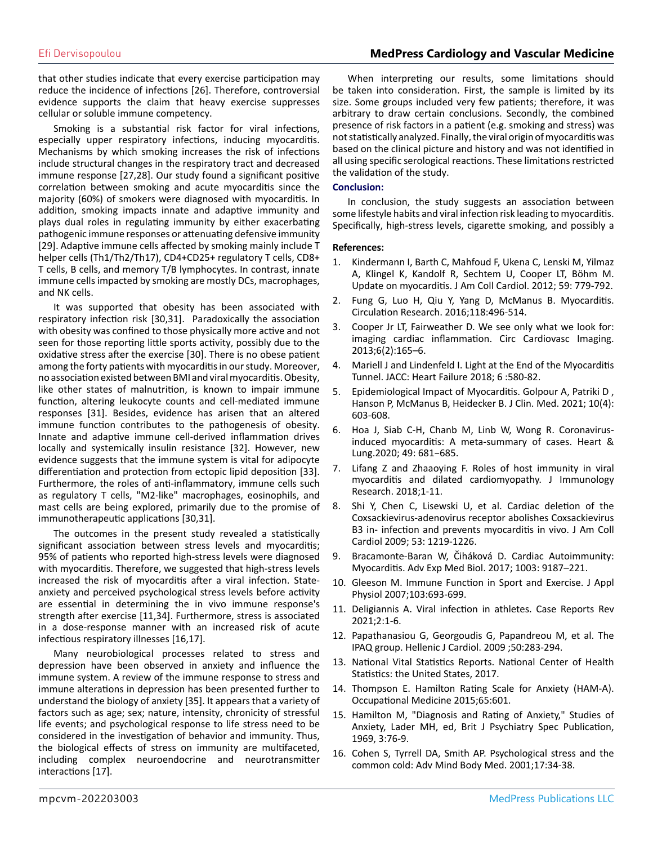#### Efi Dervisopoulou **MedPress Cardiology and Vascular Medicine**

that other studies indicate that every exercise participation may reduce the incidence of infections [26]. Therefore, controversial evidence supports the claim that heavy exercise suppresses cellular or soluble immune competency.

Smoking is a substantial risk factor for viral infections, especially upper respiratory infections, inducing myocarditis. Mechanisms by which smoking increases the risk of infections include structural changes in the respiratory tract and decreased immune response [27,28]. Our study found a significant positive correlation between smoking and acute myocarditis since the majority (60%) of smokers were diagnosed with myocarditis. In addition, smoking impacts innate and adaptive immunity and plays dual roles in regulating immunity by either exacerbating pathogenic immune responses or attenuating defensive immunity [29]. Adaptive immune cells affected by smoking mainly include T helper cells (Th1/Th2/Th17), CD4+CD25+ regulatory T cells, CD8+ T cells, B cells, and memory T/B lymphocytes. In contrast, innate immune cells impacted by smoking are mostly DCs, macrophages, and NK cells.

It was supported that obesity has been associated with respiratory infection risk [30,31]. Paradoxically the association with obesity was confined to those physically more active and not seen for those reporting little sports activity, possibly due to the oxidative stress after the exercise [30]. There is no obese patient among the forty patients with myocarditis in our study. Moreover, no association existed between BMI and viral myocarditis. Obesity, like other states of malnutrition, is known to impair immune function, altering leukocyte counts and cell-mediated immune responses [31]. Besides, evidence has arisen that an altered immune function contributes to the pathogenesis of obesity. Innate and adaptive immune cell-derived inflammation drives locally and systemically insulin resistance [32]. However, new evidence suggests that the immune system is vital for adipocyte differentiation and protection from ectopic lipid deposition [33]. Furthermore, the roles of anti-inflammatory, immune cells such as regulatory T cells, "M2-like" macrophages, eosinophils, and mast cells are being explored, primarily due to the promise of immunotherapeutic applications [30,31].

The outcomes in the present study revealed a statistically significant association between stress levels and myocarditis; 95% of patients who reported high-stress levels were diagnosed with myocarditis. Therefore, we suggested that high-stress levels increased the risk of myocarditis after a viral infection. Stateanxiety and perceived psychological stress levels before activity are essential in determining the in vivo immune response's strength after exercise [11,34]. Furthermore, stress is associated in a dose-response manner with an increased risk of acute infectious respiratory illnesses [16,17].

Many neurobiological processes related to stress and depression have been observed in anxiety and influence the immune system. A review of the immune response to stress and immune alterations in depression has been presented further to understand the biology of anxiety [35]. It appears that a variety of factors such as age; sex; nature, intensity, chronicity of stressful life events; and psychological response to life stress need to be considered in the investigation of behavior and immunity. Thus, the biological effects of stress on immunity are multifaceted, including complex neuroendocrine and neurotransmitter interactions [17].

When interpreting our results, some limitations should be taken into consideration. First, the sample is limited by its size. Some groups included very few patients; therefore, it was arbitrary to draw certain conclusions. Secondly, the combined presence of risk factors in a patient (e.g. smoking and stress) was not statistically analyzed. Finally, the viral origin of myocarditis was based on the clinical picture and history and was not identified in all using specific serological reactions. These limitations restricted the validation of the study.

#### **Conclusion:**

In conclusion, the study suggests an association between some lifestyle habits and viral infection risk leading to myocarditis. Specifically, high-stress levels, cigarette smoking, and possibly a

#### **References:**

- 1. [Kindermann I, Barth C, Mahfoud F, Ukena C, Lenski M, Yilmaz](https://pubmed.ncbi.nlm.nih.gov/22361396/)  [A, Klingel K, Kandolf R, Sechtem U, Cooper LT, Böhm M.](https://pubmed.ncbi.nlm.nih.gov/22361396/)  [Update on myocarditis. J Am Coll Cardiol. 2012; 59: 779-792.](https://pubmed.ncbi.nlm.nih.gov/22361396/)
- 2. [Fung G, Luo H, Qiu Y, Yang D, McManus B. Myocarditis.](https://www.ahajournals.org/doi/10.1161/circresaha.115.306573)  [Circulation Research. 2016;118:496-514.](https://www.ahajournals.org/doi/10.1161/circresaha.115.306573)
- 3. [Cooper Jr LT, Fairweather D. We see only what we look for:](https://www.ncbi.nlm.nih.gov/pmc/articles/PMC4102337/) [imaging cardiac inflammation. Circ Cardiovasc Imaging.](https://www.ncbi.nlm.nih.gov/pmc/articles/PMC4102337/)  [2013;6\(2\):165–6.](https://www.ncbi.nlm.nih.gov/pmc/articles/PMC4102337/)
- 4. [Mariell J and Lindenfeld I. Light at the End of the Myocarditis](https://pubmed.ncbi.nlm.nih.gov/29885955/)  [Tunnel. JACC: Heart Failure 2018; 6 :580-82.](https://pubmed.ncbi.nlm.nih.gov/29885955/)
- 5. [Epidemiological Impact of Myocarditis. Golpour A, Patriki D ,](https://pubmed.ncbi.nlm.nih.gov/33562759/) [Hanson P, McManus B, Heidecker B. J Clin. Med. 2021; 10\(4\):](https://pubmed.ncbi.nlm.nih.gov/33562759/) [603-608.](https://pubmed.ncbi.nlm.nih.gov/33562759/)
- 6. [Hoa J, Siab C-H, Chanb M, Linb W, Wong R. Coronavirus](https://pubmed.ncbi.nlm.nih.gov/32861884/)[induced myocarditis: A meta-summary of cases. Heart &](https://pubmed.ncbi.nlm.nih.gov/32861884/)  [Lung.2020; 49: 681−685.](https://pubmed.ncbi.nlm.nih.gov/32861884/)
- 7. [Lifang Z and Zhaaoying F. Roles of host immunity in viral](https://pubmed.ncbi.nlm.nih.gov/29854842/#:~:text=The pathogenesis of viral myocarditis,is also associated with immunopathogenesis.)  [myocarditis and dilated cardiomyopathy. J Immunology](https://pubmed.ncbi.nlm.nih.gov/29854842/#:~:text=The pathogenesis of viral myocarditis,is also associated with immunopathogenesis.)  [Research. 2018;1-11.](https://pubmed.ncbi.nlm.nih.gov/29854842/#:~:text=The pathogenesis of viral myocarditis,is also associated with immunopathogenesis.)
- 8. [Shi Y, Chen C, Lisewski U, et al. Cardiac deletion of the](https://pubmed.ncbi.nlm.nih.gov/19341864/) [Coxsackievirus-adenovirus receptor abolishes Coxsackievirus](https://pubmed.ncbi.nlm.nih.gov/19341864/)  [B3 in- infection and prevents myocarditis in vivo. J Am Coll](https://pubmed.ncbi.nlm.nih.gov/19341864/)  [Cardiol 2009; 53: 1219-1226.](https://pubmed.ncbi.nlm.nih.gov/19341864/)
- 9. [Bracamonte-Baran W, Čiháková D. Cardiac Autoimmunity:](https://pubmed.ncbi.nlm.nih.gov/28667560/#:~:text=Abstract,clinical correlate is heart failure.)  [Myocarditis. Adv Exp Med Biol. 2017; 1003: 9187–221.](https://pubmed.ncbi.nlm.nih.gov/28667560/#:~:text=Abstract,clinical correlate is heart failure.)
- 10. [Gleeson M. Immune Function in Sport and Exercise. J Appl](https://pubmed.ncbi.nlm.nih.gov/17303714/)  [Physiol 2007;103:693-699.](https://pubmed.ncbi.nlm.nih.gov/17303714/)
- 11. Deligiannis A. Viral infection in athletes. Case Reports Rev 2021;2:1-6.
- 12. Papathanasiou G, Georgoudis G, Papandreou M, et al. The IPAQ group. Hellenic J Cardiol. 2009 ;50:283-294.
- 13. National Vital Statistics Reports. National Center of Health Statistics: the United States, 2017.
- 14. [Thompson E. Hamilton Rating Scale for Anxiety \(HAM-A\).](https://academic.oup.com/occmed/article/65/7/601/1733495)  [Occupational Medicine 2015;65:601.](https://academic.oup.com/occmed/article/65/7/601/1733495)
- 15. Hamilton M, "Diagnosis and Rating of Anxiety," Studies of Anxiety, Lader MH, ed, Brit J Psychiatry Spec Publication, 1969, 3:76-9.
- 16. Cohen S, Tyrrell DA, Smith AP. Psychological stress and the common cold: Adv Mind Body Med. 2001;17:34-38.